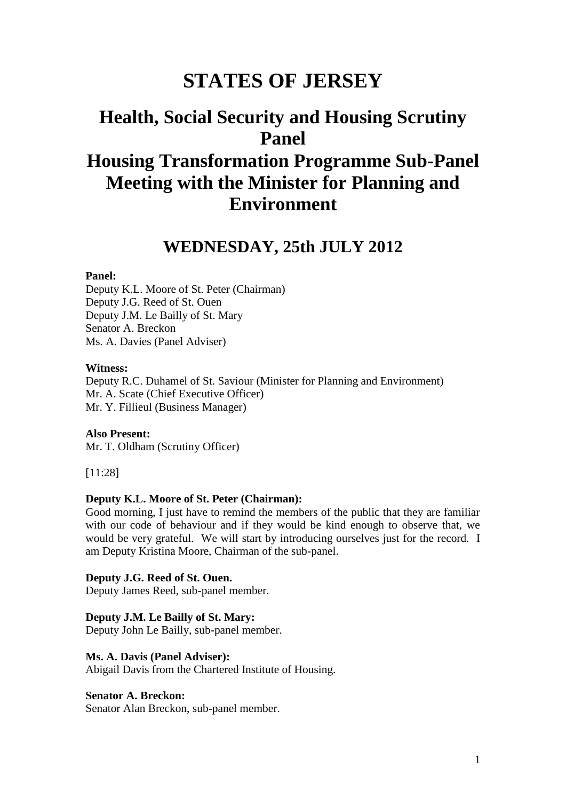# **STATES OF JERSEY**

# **Health, Social Security and Housing Scrutiny Panel Housing Transformation Programme Sub-Panel Meeting with the Minister for Planning and Environment**

# **WEDNESDAY, 25th JULY 2012**

#### **Panel:**

Deputy K.L. Moore of St. Peter (Chairman) Deputy J.G. Reed of St. Ouen Deputy J.M. Le Bailly of St. Mary Senator A. Breckon Ms. A. Davies (Panel Adviser)

#### **Witness:**

Deputy R.C. Duhamel of St. Saviour (Minister for Planning and Environment) Mr. A. Scate (Chief Executive Officer) Mr. Y. Fillieul (Business Manager)

**Also Present:** Mr. T. Oldham (Scrutiny Officer)

[11:28]

#### **Deputy K.L. Moore of St. Peter (Chairman):**

Good morning, I just have to remind the members of the public that they are familiar with our code of behaviour and if they would be kind enough to observe that, we would be very grateful. We will start by introducing ourselves just for the record. I am Deputy Kristina Moore, Chairman of the sub-panel.

#### **Deputy J.G. Reed of St. Ouen.**

Deputy James Reed, sub-panel member.

#### **Deputy J.M. Le Bailly of St. Mary:**

Deputy John Le Bailly, sub-panel member.

### **Ms. A. Davis (Panel Adviser):**

Abigail Davis from the Chartered Institute of Housing.

#### **Senator A. Breckon:**

Senator Alan Breckon, sub-panel member.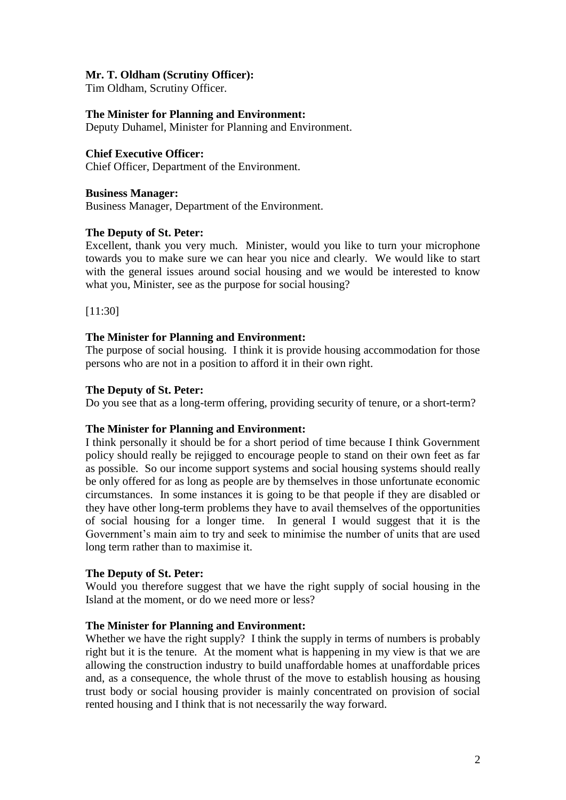# **Mr. T. Oldham (Scrutiny Officer):**

Tim Oldham, Scrutiny Officer.

# **The Minister for Planning and Environment:**

Deputy Duhamel, Minister for Planning and Environment.

# **Chief Executive Officer:**

Chief Officer, Department of the Environment.

# **Business Manager:**

Business Manager, Department of the Environment.

# **The Deputy of St. Peter:**

Excellent, thank you very much. Minister, would you like to turn your microphone towards you to make sure we can hear you nice and clearly. We would like to start with the general issues around social housing and we would be interested to know what you, Minister, see as the purpose for social housing?

[11:30]

# **The Minister for Planning and Environment:**

The purpose of social housing. I think it is provide housing accommodation for those persons who are not in a position to afford it in their own right.

# **The Deputy of St. Peter:**

Do you see that as a long-term offering, providing security of tenure, or a short-term?

# **The Minister for Planning and Environment:**

I think personally it should be for a short period of time because I think Government policy should really be rejigged to encourage people to stand on their own feet as far as possible. So our income support systems and social housing systems should really be only offered for as long as people are by themselves in those unfortunate economic circumstances. In some instances it is going to be that people if they are disabled or they have other long-term problems they have to avail themselves of the opportunities of social housing for a longer time. In general I would suggest that it is the Government's main aim to try and seek to minimise the number of units that are used long term rather than to maximise it.

# **The Deputy of St. Peter:**

Would you therefore suggest that we have the right supply of social housing in the Island at the moment, or do we need more or less?

# **The Minister for Planning and Environment:**

Whether we have the right supply? I think the supply in terms of numbers is probably right but it is the tenure. At the moment what is happening in my view is that we are allowing the construction industry to build unaffordable homes at unaffordable prices and, as a consequence, the whole thrust of the move to establish housing as housing trust body or social housing provider is mainly concentrated on provision of social rented housing and I think that is not necessarily the way forward.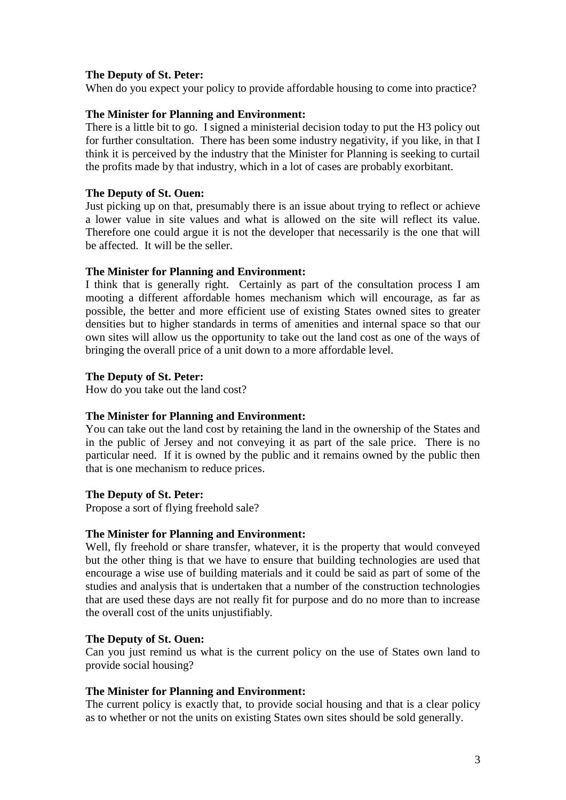When do you expect your policy to provide affordable housing to come into practice?

### **The Minister for Planning and Environment:**

There is a little bit to go. I signed a ministerial decision today to put the H3 policy out for further consultation. There has been some industry negativity, if you like, in that I think it is perceived by the industry that the Minister for Planning is seeking to curtail the profits made by that industry, which in a lot of cases are probably exorbitant.

#### **The Deputy of St. Ouen:**

Just picking up on that, presumably there is an issue about trying to reflect or achieve a lower value in site values and what is allowed on the site will reflect its value. Therefore one could argue it is not the developer that necessarily is the one that will be affected. It will be the seller.

### **The Minister for Planning and Environment:**

I think that is generally right. Certainly as part of the consultation process I am mooting a different affordable homes mechanism which will encourage, as far as possible, the better and more efficient use of existing States owned sites to greater densities but to higher standards in terms of amenities and internal space so that our own sites will allow us the opportunity to take out the land cost as one of the ways of bringing the overall price of a unit down to a more affordable level.

### **The Deputy of St. Peter:**

How do you take out the land cost?

# **The Minister for Planning and Environment:**

You can take out the land cost by retaining the land in the ownership of the States and in the public of Jersey and not conveying it as part of the sale price. There is no particular need. If it is owned by the public and it remains owned by the public then that is one mechanism to reduce prices.

# **The Deputy of St. Peter:**

Propose a sort of flying freehold sale?

#### **The Minister for Planning and Environment:**

Well, fly freehold or share transfer, whatever, it is the property that would conveyed but the other thing is that we have to ensure that building technologies are used that encourage a wise use of building materials and it could be said as part of some of the studies and analysis that is undertaken that a number of the construction technologies that are used these days are not really fit for purpose and do no more than to increase the overall cost of the units unjustifiably.

# **The Deputy of St. Ouen:**

Can you just remind us what is the current policy on the use of States own land to provide social housing?

# **The Minister for Planning and Environment:**

The current policy is exactly that, to provide social housing and that is a clear policy as to whether or not the units on existing States own sites should be sold generally.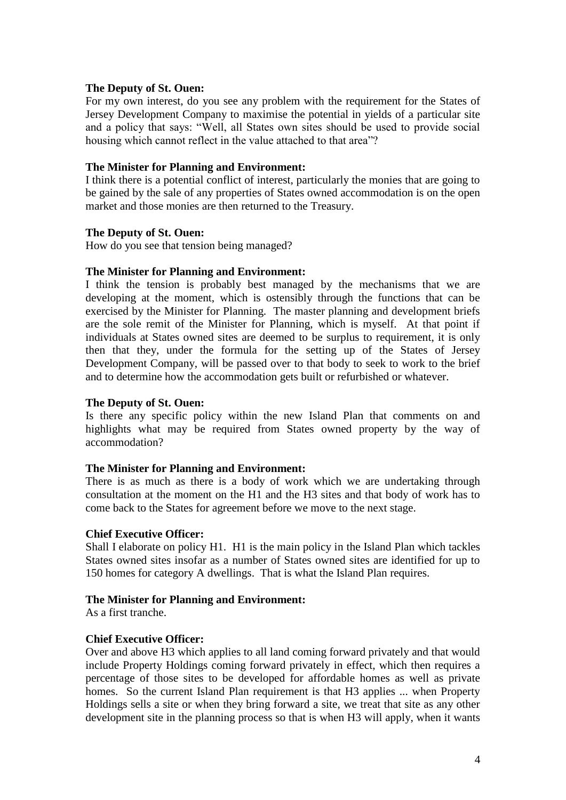# **The Deputy of St. Ouen:**

For my own interest, do you see any problem with the requirement for the States of Jersey Development Company to maximise the potential in yields of a particular site and a policy that says: "Well, all States own sites should be used to provide social housing which cannot reflect in the value attached to that area"?

### **The Minister for Planning and Environment:**

I think there is a potential conflict of interest, particularly the monies that are going to be gained by the sale of any properties of States owned accommodation is on the open market and those monies are then returned to the Treasury.

### **The Deputy of St. Ouen:**

How do you see that tension being managed?

# **The Minister for Planning and Environment:**

I think the tension is probably best managed by the mechanisms that we are developing at the moment, which is ostensibly through the functions that can be exercised by the Minister for Planning. The master planning and development briefs are the sole remit of the Minister for Planning, which is myself. At that point if individuals at States owned sites are deemed to be surplus to requirement, it is only then that they, under the formula for the setting up of the States of Jersey Development Company, will be passed over to that body to seek to work to the brief and to determine how the accommodation gets built or refurbished or whatever.

### **The Deputy of St. Ouen:**

Is there any specific policy within the new Island Plan that comments on and highlights what may be required from States owned property by the way of accommodation?

#### **The Minister for Planning and Environment:**

There is as much as there is a body of work which we are undertaking through consultation at the moment on the H1 and the H3 sites and that body of work has to come back to the States for agreement before we move to the next stage.

#### **Chief Executive Officer:**

Shall I elaborate on policy H1. H1 is the main policy in the Island Plan which tackles States owned sites insofar as a number of States owned sites are identified for up to 150 homes for category A dwellings. That is what the Island Plan requires.

#### **The Minister for Planning and Environment:**

As a first tranche.

# **Chief Executive Officer:**

Over and above H3 which applies to all land coming forward privately and that would include Property Holdings coming forward privately in effect, which then requires a percentage of those sites to be developed for affordable homes as well as private homes. So the current Island Plan requirement is that H3 applies ... when Property Holdings sells a site or when they bring forward a site, we treat that site as any other development site in the planning process so that is when H3 will apply, when it wants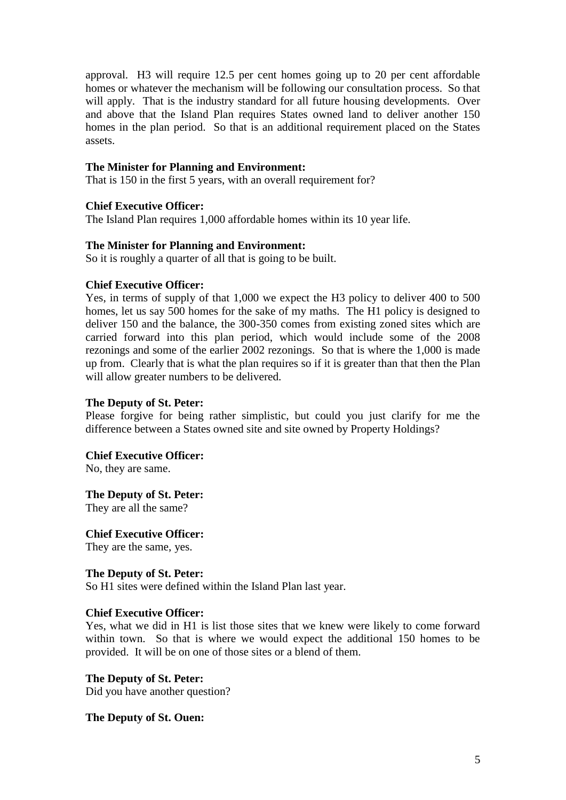approval. H3 will require 12.5 per cent homes going up to 20 per cent affordable homes or whatever the mechanism will be following our consultation process. So that will apply. That is the industry standard for all future housing developments. Over and above that the Island Plan requires States owned land to deliver another 150 homes in the plan period. So that is an additional requirement placed on the States assets.

### **The Minister for Planning and Environment:**

That is 150 in the first 5 years, with an overall requirement for?

# **Chief Executive Officer:**

The Island Plan requires 1,000 affordable homes within its 10 year life.

### **The Minister for Planning and Environment:**

So it is roughly a quarter of all that is going to be built.

### **Chief Executive Officer:**

Yes, in terms of supply of that 1,000 we expect the H3 policy to deliver 400 to 500 homes, let us say 500 homes for the sake of my maths. The H1 policy is designed to deliver 150 and the balance, the 300-350 comes from existing zoned sites which are carried forward into this plan period, which would include some of the 2008 rezonings and some of the earlier 2002 rezonings. So that is where the 1,000 is made up from. Clearly that is what the plan requires so if it is greater than that then the Plan will allow greater numbers to be delivered.

### **The Deputy of St. Peter:**

Please forgive for being rather simplistic, but could you just clarify for me the difference between a States owned site and site owned by Property Holdings?

#### **Chief Executive Officer:**

No, they are same.

**The Deputy of St. Peter:**

They are all the same?

# **Chief Executive Officer:**

They are the same, yes.

#### **The Deputy of St. Peter:**

So H1 sites were defined within the Island Plan last year.

# **Chief Executive Officer:**

Yes, what we did in H1 is list those sites that we knew were likely to come forward within town. So that is where we would expect the additional 150 homes to be provided. It will be on one of those sites or a blend of them.

**The Deputy of St. Peter:** Did you have another question?

#### **The Deputy of St. Ouen:**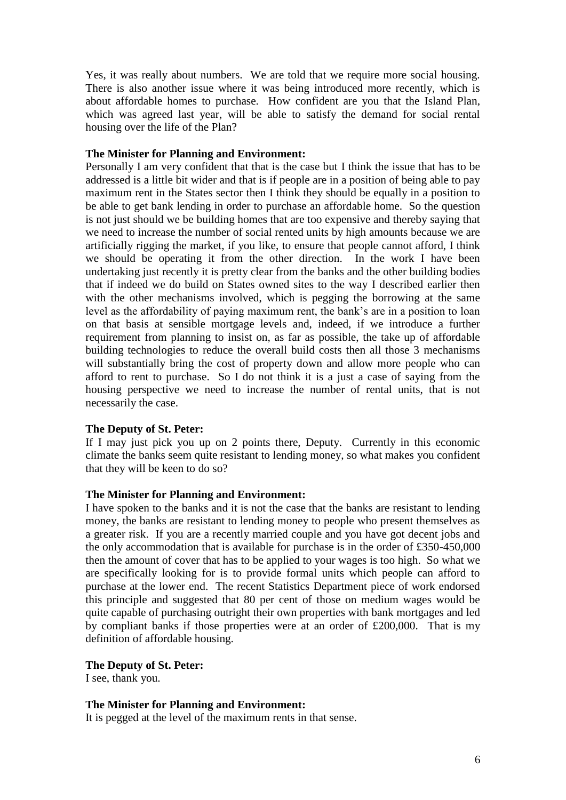Yes, it was really about numbers. We are told that we require more social housing. There is also another issue where it was being introduced more recently, which is about affordable homes to purchase. How confident are you that the Island Plan, which was agreed last year, will be able to satisfy the demand for social rental housing over the life of the Plan?

#### **The Minister for Planning and Environment:**

Personally I am very confident that that is the case but I think the issue that has to be addressed is a little bit wider and that is if people are in a position of being able to pay maximum rent in the States sector then I think they should be equally in a position to be able to get bank lending in order to purchase an affordable home. So the question is not just should we be building homes that are too expensive and thereby saying that we need to increase the number of social rented units by high amounts because we are artificially rigging the market, if you like, to ensure that people cannot afford, I think we should be operating it from the other direction. In the work I have been undertaking just recently it is pretty clear from the banks and the other building bodies that if indeed we do build on States owned sites to the way I described earlier then with the other mechanisms involved, which is pegging the borrowing at the same level as the affordability of paying maximum rent, the bank's are in a position to loan on that basis at sensible mortgage levels and, indeed, if we introduce a further requirement from planning to insist on, as far as possible, the take up of affordable building technologies to reduce the overall build costs then all those 3 mechanisms will substantially bring the cost of property down and allow more people who can afford to rent to purchase. So I do not think it is a just a case of saying from the housing perspective we need to increase the number of rental units, that is not necessarily the case.

# **The Deputy of St. Peter:**

If I may just pick you up on 2 points there, Deputy. Currently in this economic climate the banks seem quite resistant to lending money, so what makes you confident that they will be keen to do so?

# **The Minister for Planning and Environment:**

I have spoken to the banks and it is not the case that the banks are resistant to lending money, the banks are resistant to lending money to people who present themselves as a greater risk. If you are a recently married couple and you have got decent jobs and the only accommodation that is available for purchase is in the order of £350-450,000 then the amount of cover that has to be applied to your wages is too high. So what we are specifically looking for is to provide formal units which people can afford to purchase at the lower end. The recent Statistics Department piece of work endorsed this principle and suggested that 80 per cent of those on medium wages would be quite capable of purchasing outright their own properties with bank mortgages and led by compliant banks if those properties were at an order of £200,000. That is my definition of affordable housing.

# **The Deputy of St. Peter:**

I see, thank you.

#### **The Minister for Planning and Environment:**

It is pegged at the level of the maximum rents in that sense.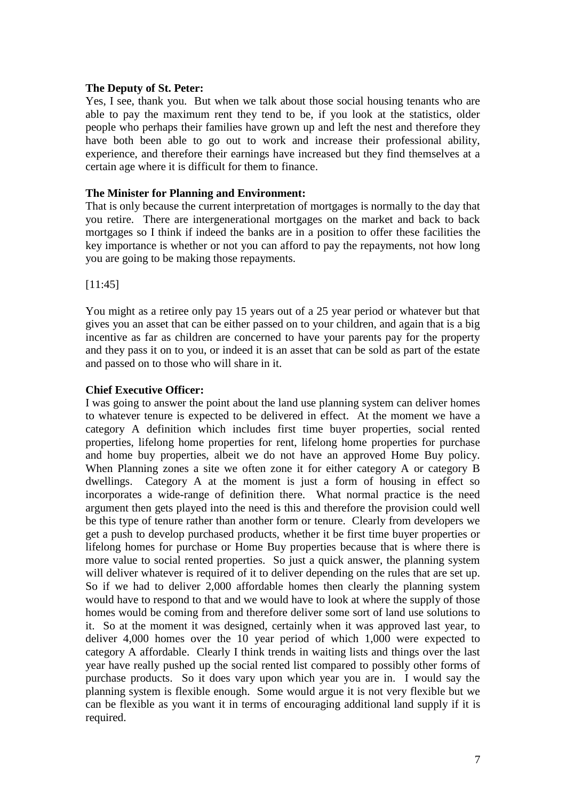Yes, I see, thank you. But when we talk about those social housing tenants who are able to pay the maximum rent they tend to be, if you look at the statistics, older people who perhaps their families have grown up and left the nest and therefore they have both been able to go out to work and increase their professional ability, experience, and therefore their earnings have increased but they find themselves at a certain age where it is difficult for them to finance.

### **The Minister for Planning and Environment:**

That is only because the current interpretation of mortgages is normally to the day that you retire. There are intergenerational mortgages on the market and back to back mortgages so I think if indeed the banks are in a position to offer these facilities the key importance is whether or not you can afford to pay the repayments, not how long you are going to be making those repayments.

[11:45]

You might as a retiree only pay 15 years out of a 25 year period or whatever but that gives you an asset that can be either passed on to your children, and again that is a big incentive as far as children are concerned to have your parents pay for the property and they pass it on to you, or indeed it is an asset that can be sold as part of the estate and passed on to those who will share in it.

# **Chief Executive Officer:**

I was going to answer the point about the land use planning system can deliver homes to whatever tenure is expected to be delivered in effect. At the moment we have a category A definition which includes first time buyer properties, social rented properties, lifelong home properties for rent, lifelong home properties for purchase and home buy properties, albeit we do not have an approved Home Buy policy. When Planning zones a site we often zone it for either category A or category B dwellings. Category A at the moment is just a form of housing in effect so incorporates a wide-range of definition there. What normal practice is the need argument then gets played into the need is this and therefore the provision could well be this type of tenure rather than another form or tenure. Clearly from developers we get a push to develop purchased products, whether it be first time buyer properties or lifelong homes for purchase or Home Buy properties because that is where there is more value to social rented properties. So just a quick answer, the planning system will deliver whatever is required of it to deliver depending on the rules that are set up. So if we had to deliver 2,000 affordable homes then clearly the planning system would have to respond to that and we would have to look at where the supply of those homes would be coming from and therefore deliver some sort of land use solutions to it. So at the moment it was designed, certainly when it was approved last year, to deliver 4,000 homes over the 10 year period of which 1,000 were expected to category A affordable. Clearly I think trends in waiting lists and things over the last year have really pushed up the social rented list compared to possibly other forms of purchase products. So it does vary upon which year you are in. I would say the planning system is flexible enough. Some would argue it is not very flexible but we can be flexible as you want it in terms of encouraging additional land supply if it is required.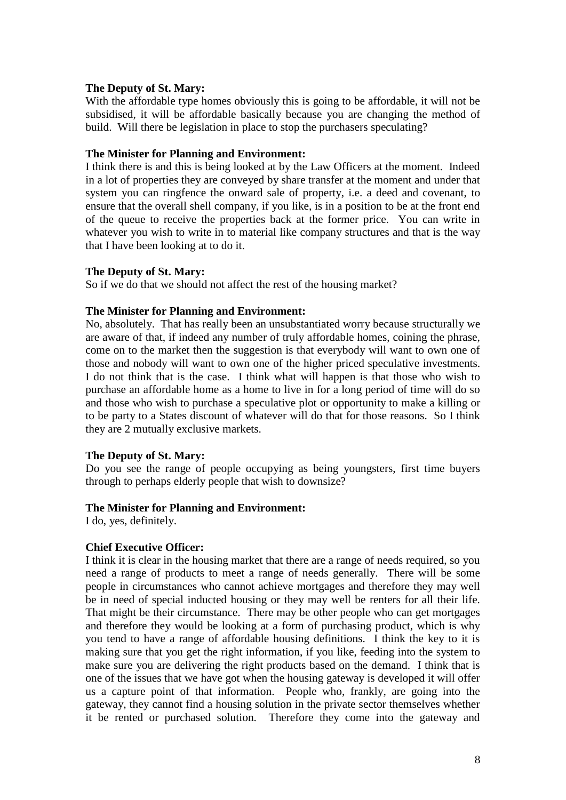# **The Deputy of St. Mary:**

With the affordable type homes obviously this is going to be affordable, it will not be subsidised, it will be affordable basically because you are changing the method of build. Will there be legislation in place to stop the purchasers speculating?

### **The Minister for Planning and Environment:**

I think there is and this is being looked at by the Law Officers at the moment. Indeed in a lot of properties they are conveyed by share transfer at the moment and under that system you can ringfence the onward sale of property, i.e. a deed and covenant, to ensure that the overall shell company, if you like, is in a position to be at the front end of the queue to receive the properties back at the former price. You can write in whatever you wish to write in to material like company structures and that is the way that I have been looking at to do it.

### **The Deputy of St. Mary:**

So if we do that we should not affect the rest of the housing market?

### **The Minister for Planning and Environment:**

No, absolutely. That has really been an unsubstantiated worry because structurally we are aware of that, if indeed any number of truly affordable homes, coining the phrase, come on to the market then the suggestion is that everybody will want to own one of those and nobody will want to own one of the higher priced speculative investments. I do not think that is the case. I think what will happen is that those who wish to purchase an affordable home as a home to live in for a long period of time will do so and those who wish to purchase a speculative plot or opportunity to make a killing or to be party to a States discount of whatever will do that for those reasons. So I think they are 2 mutually exclusive markets.

# **The Deputy of St. Mary:**

Do you see the range of people occupying as being youngsters, first time buyers through to perhaps elderly people that wish to downsize?

# **The Minister for Planning and Environment:**

I do, yes, definitely.

# **Chief Executive Officer:**

I think it is clear in the housing market that there are a range of needs required, so you need a range of products to meet a range of needs generally. There will be some people in circumstances who cannot achieve mortgages and therefore they may well be in need of special inducted housing or they may well be renters for all their life. That might be their circumstance. There may be other people who can get mortgages and therefore they would be looking at a form of purchasing product, which is why you tend to have a range of affordable housing definitions. I think the key to it is making sure that you get the right information, if you like, feeding into the system to make sure you are delivering the right products based on the demand. I think that is one of the issues that we have got when the housing gateway is developed it will offer us a capture point of that information. People who, frankly, are going into the gateway, they cannot find a housing solution in the private sector themselves whether it be rented or purchased solution. Therefore they come into the gateway and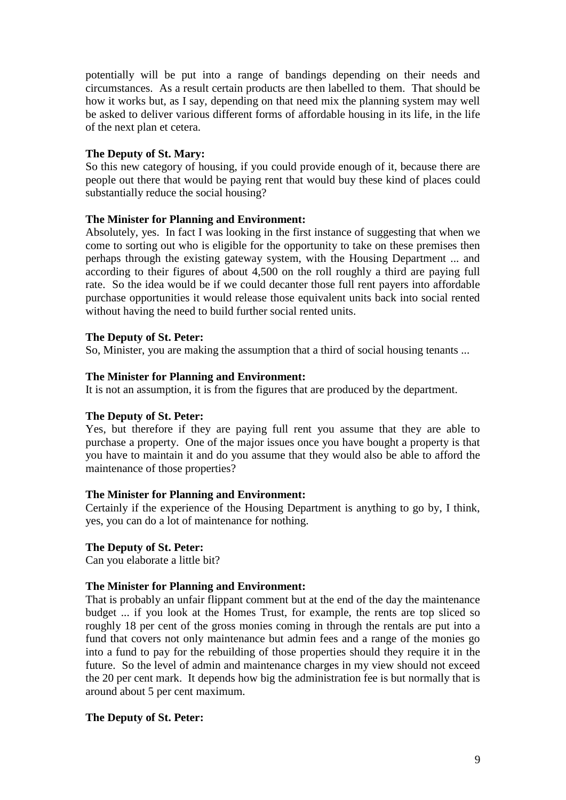potentially will be put into a range of bandings depending on their needs and circumstances. As a result certain products are then labelled to them. That should be how it works but, as I say, depending on that need mix the planning system may well be asked to deliver various different forms of affordable housing in its life, in the life of the next plan et cetera.

# **The Deputy of St. Mary:**

So this new category of housing, if you could provide enough of it, because there are people out there that would be paying rent that would buy these kind of places could substantially reduce the social housing?

# **The Minister for Planning and Environment:**

Absolutely, yes. In fact I was looking in the first instance of suggesting that when we come to sorting out who is eligible for the opportunity to take on these premises then perhaps through the existing gateway system, with the Housing Department ... and according to their figures of about 4,500 on the roll roughly a third are paying full rate. So the idea would be if we could decanter those full rent payers into affordable purchase opportunities it would release those equivalent units back into social rented without having the need to build further social rented units.

# **The Deputy of St. Peter:**

So, Minister, you are making the assumption that a third of social housing tenants ...

# **The Minister for Planning and Environment:**

It is not an assumption, it is from the figures that are produced by the department.

# **The Deputy of St. Peter:**

Yes, but therefore if they are paying full rent you assume that they are able to purchase a property. One of the major issues once you have bought a property is that you have to maintain it and do you assume that they would also be able to afford the maintenance of those properties?

# **The Minister for Planning and Environment:**

Certainly if the experience of the Housing Department is anything to go by, I think, yes, you can do a lot of maintenance for nothing.

# **The Deputy of St. Peter:**

Can you elaborate a little bit?

# **The Minister for Planning and Environment:**

That is probably an unfair flippant comment but at the end of the day the maintenance budget ... if you look at the Homes Trust, for example, the rents are top sliced so roughly 18 per cent of the gross monies coming in through the rentals are put into a fund that covers not only maintenance but admin fees and a range of the monies go into a fund to pay for the rebuilding of those properties should they require it in the future. So the level of admin and maintenance charges in my view should not exceed the 20 per cent mark. It depends how big the administration fee is but normally that is around about 5 per cent maximum.

# **The Deputy of St. Peter:**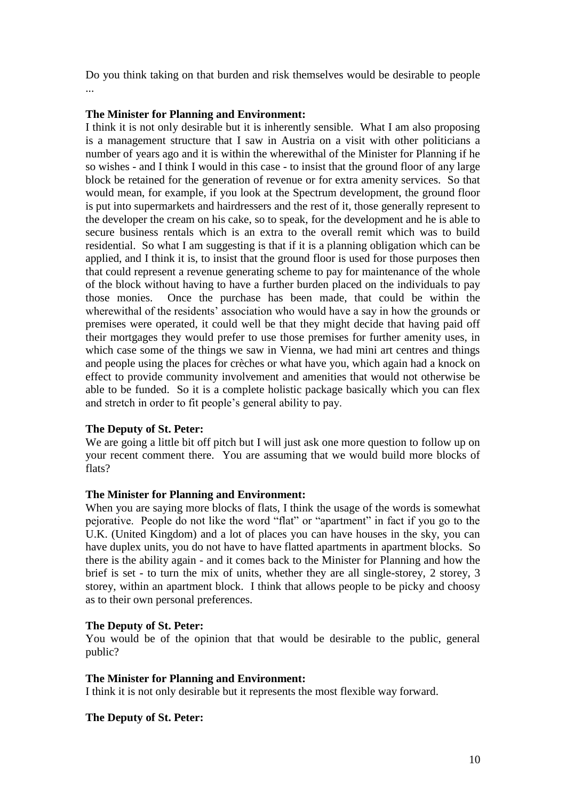Do you think taking on that burden and risk themselves would be desirable to people ...

# **The Minister for Planning and Environment:**

I think it is not only desirable but it is inherently sensible. What I am also proposing is a management structure that I saw in Austria on a visit with other politicians a number of years ago and it is within the wherewithal of the Minister for Planning if he so wishes - and I think I would in this case - to insist that the ground floor of any large block be retained for the generation of revenue or for extra amenity services. So that would mean, for example, if you look at the Spectrum development, the ground floor is put into supermarkets and hairdressers and the rest of it, those generally represent to the developer the cream on his cake, so to speak, for the development and he is able to secure business rentals which is an extra to the overall remit which was to build residential. So what I am suggesting is that if it is a planning obligation which can be applied, and I think it is, to insist that the ground floor is used for those purposes then that could represent a revenue generating scheme to pay for maintenance of the whole of the block without having to have a further burden placed on the individuals to pay those monies. Once the purchase has been made, that could be within the wherewithal of the residents' association who would have a say in how the grounds or premises were operated, it could well be that they might decide that having paid off their mortgages they would prefer to use those premises for further amenity uses, in which case some of the things we saw in Vienna, we had mini art centres and things and people using the places for crèches or what have you, which again had a knock on effect to provide community involvement and amenities that would not otherwise be able to be funded. So it is a complete holistic package basically which you can flex and stretch in order to fit people's general ability to pay.

# **The Deputy of St. Peter:**

We are going a little bit off pitch but I will just ask one more question to follow up on your recent comment there. You are assuming that we would build more blocks of flats?

# **The Minister for Planning and Environment:**

When you are saying more blocks of flats, I think the usage of the words is somewhat pejorative. People do not like the word "flat" or "apartment" in fact if you go to the U.K. (United Kingdom) and a lot of places you can have houses in the sky, you can have duplex units, you do not have to have flatted apartments in apartment blocks. So there is the ability again - and it comes back to the Minister for Planning and how the brief is set - to turn the mix of units, whether they are all single-storey, 2 storey, 3 storey, within an apartment block. I think that allows people to be picky and choosy as to their own personal preferences.

# **The Deputy of St. Peter:**

You would be of the opinion that that would be desirable to the public, general public?

# **The Minister for Planning and Environment:**

I think it is not only desirable but it represents the most flexible way forward.

# **The Deputy of St. Peter:**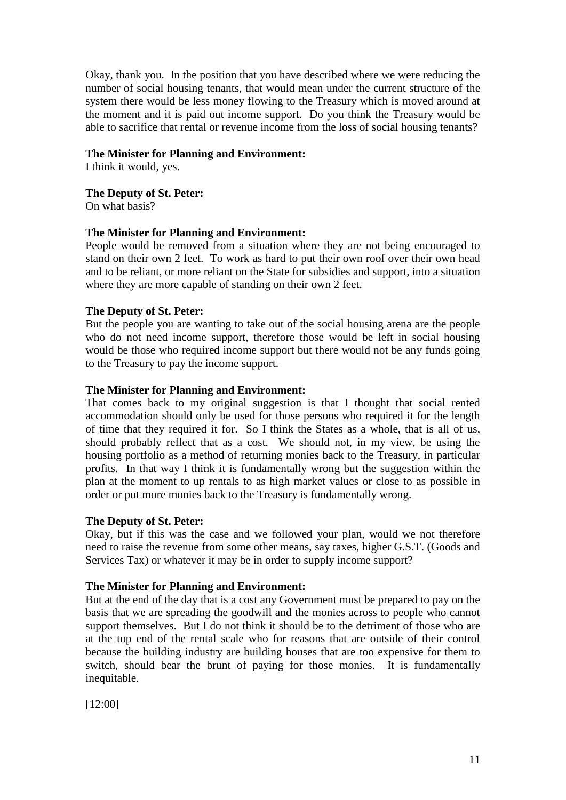Okay, thank you. In the position that you have described where we were reducing the number of social housing tenants, that would mean under the current structure of the system there would be less money flowing to the Treasury which is moved around at the moment and it is paid out income support. Do you think the Treasury would be able to sacrifice that rental or revenue income from the loss of social housing tenants?

# **The Minister for Planning and Environment:**

I think it would, yes.

# **The Deputy of St. Peter:**

On what basis?

# **The Minister for Planning and Environment:**

People would be removed from a situation where they are not being encouraged to stand on their own 2 feet. To work as hard to put their own roof over their own head and to be reliant, or more reliant on the State for subsidies and support, into a situation where they are more capable of standing on their own 2 feet.

# **The Deputy of St. Peter:**

But the people you are wanting to take out of the social housing arena are the people who do not need income support, therefore those would be left in social housing would be those who required income support but there would not be any funds going to the Treasury to pay the income support.

# **The Minister for Planning and Environment:**

That comes back to my original suggestion is that I thought that social rented accommodation should only be used for those persons who required it for the length of time that they required it for. So I think the States as a whole, that is all of us, should probably reflect that as a cost. We should not, in my view, be using the housing portfolio as a method of returning monies back to the Treasury, in particular profits. In that way I think it is fundamentally wrong but the suggestion within the plan at the moment to up rentals to as high market values or close to as possible in order or put more monies back to the Treasury is fundamentally wrong.

# **The Deputy of St. Peter:**

Okay, but if this was the case and we followed your plan, would we not therefore need to raise the revenue from some other means, say taxes, higher G.S.T. (Goods and Services Tax) or whatever it may be in order to supply income support?

# **The Minister for Planning and Environment:**

But at the end of the day that is a cost any Government must be prepared to pay on the basis that we are spreading the goodwill and the monies across to people who cannot support themselves. But I do not think it should be to the detriment of those who are at the top end of the rental scale who for reasons that are outside of their control because the building industry are building houses that are too expensive for them to switch, should bear the brunt of paying for those monies. It is fundamentally inequitable.

[12:00]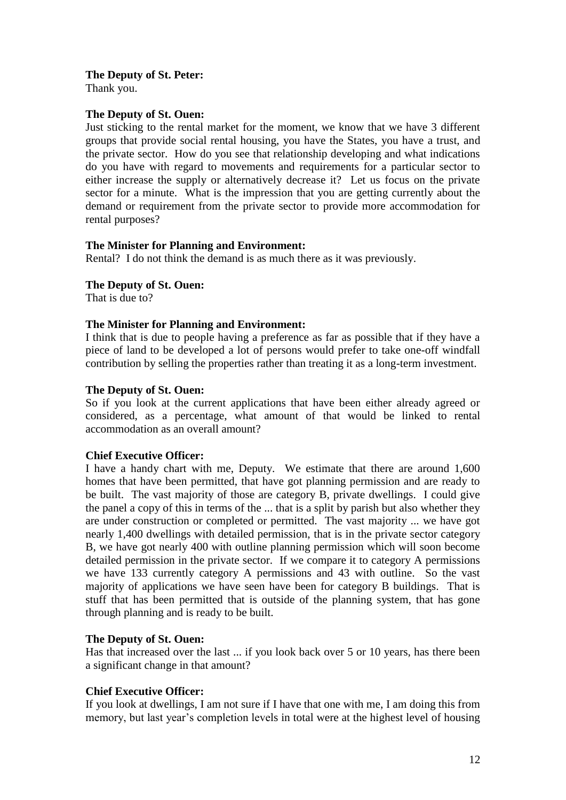Thank you.

# **The Deputy of St. Ouen:**

Just sticking to the rental market for the moment, we know that we have 3 different groups that provide social rental housing, you have the States, you have a trust, and the private sector. How do you see that relationship developing and what indications do you have with regard to movements and requirements for a particular sector to either increase the supply or alternatively decrease it? Let us focus on the private sector for a minute. What is the impression that you are getting currently about the demand or requirement from the private sector to provide more accommodation for rental purposes?

# **The Minister for Planning and Environment:**

Rental? I do not think the demand is as much there as it was previously.

# **The Deputy of St. Ouen:**

That is due to?

# **The Minister for Planning and Environment:**

I think that is due to people having a preference as far as possible that if they have a piece of land to be developed a lot of persons would prefer to take one-off windfall contribution by selling the properties rather than treating it as a long-term investment.

# **The Deputy of St. Ouen:**

So if you look at the current applications that have been either already agreed or considered, as a percentage, what amount of that would be linked to rental accommodation as an overall amount?

# **Chief Executive Officer:**

I have a handy chart with me, Deputy. We estimate that there are around 1,600 homes that have been permitted, that have got planning permission and are ready to be built. The vast majority of those are category B, private dwellings. I could give the panel a copy of this in terms of the ... that is a split by parish but also whether they are under construction or completed or permitted. The vast majority ... we have got nearly 1,400 dwellings with detailed permission, that is in the private sector category B, we have got nearly 400 with outline planning permission which will soon become detailed permission in the private sector. If we compare it to category A permissions we have 133 currently category A permissions and 43 with outline. So the vast majority of applications we have seen have been for category B buildings. That is stuff that has been permitted that is outside of the planning system, that has gone through planning and is ready to be built.

# **The Deputy of St. Ouen:**

Has that increased over the last ... if you look back over 5 or 10 years, has there been a significant change in that amount?

# **Chief Executive Officer:**

If you look at dwellings, I am not sure if I have that one with me, I am doing this from memory, but last year's completion levels in total were at the highest level of housing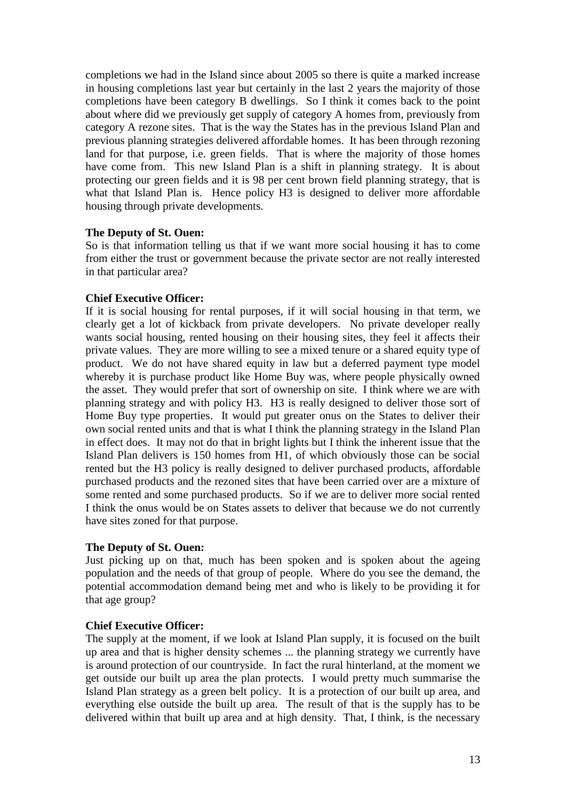completions we had in the Island since about 2005 so there is quite a marked increase in housing completions last year but certainly in the last 2 years the majority of those completions have been category B dwellings. So I think it comes back to the point about where did we previously get supply of category A homes from, previously from category A rezone sites. That is the way the States has in the previous Island Plan and previous planning strategies delivered affordable homes. It has been through rezoning land for that purpose, i.e. green fields. That is where the majority of those homes have come from. This new Island Plan is a shift in planning strategy. It is about protecting our green fields and it is 98 per cent brown field planning strategy, that is what that Island Plan is. Hence policy H3 is designed to deliver more affordable housing through private developments.

# **The Deputy of St. Ouen:**

So is that information telling us that if we want more social housing it has to come from either the trust or government because the private sector are not really interested in that particular area?

# **Chief Executive Officer:**

If it is social housing for rental purposes, if it will social housing in that term, we clearly get a lot of kickback from private developers. No private developer really wants social housing, rented housing on their housing sites, they feel it affects their private values. They are more willing to see a mixed tenure or a shared equity type of product. We do not have shared equity in law but a deferred payment type model whereby it is purchase product like Home Buy was, where people physically owned the asset. They would prefer that sort of ownership on site. I think where we are with planning strategy and with policy H3. H3 is really designed to deliver those sort of Home Buy type properties. It would put greater onus on the States to deliver their own social rented units and that is what I think the planning strategy in the Island Plan in effect does. It may not do that in bright lights but I think the inherent issue that the Island Plan delivers is 150 homes from H1, of which obviously those can be social rented but the H3 policy is really designed to deliver purchased products, affordable purchased products and the rezoned sites that have been carried over are a mixture of some rented and some purchased products. So if we are to deliver more social rented I think the onus would be on States assets to deliver that because we do not currently have sites zoned for that purpose.

# **The Deputy of St. Ouen:**

Just picking up on that, much has been spoken and is spoken about the ageing population and the needs of that group of people. Where do you see the demand, the potential accommodation demand being met and who is likely to be providing it for that age group?

# **Chief Executive Officer:**

The supply at the moment, if we look at Island Plan supply, it is focused on the built up area and that is higher density schemes ... the planning strategy we currently have is around protection of our countryside. In fact the rural hinterland, at the moment we get outside our built up area the plan protects. I would pretty much summarise the Island Plan strategy as a green belt policy. It is a protection of our built up area, and everything else outside the built up area. The result of that is the supply has to be delivered within that built up area and at high density. That, I think, is the necessary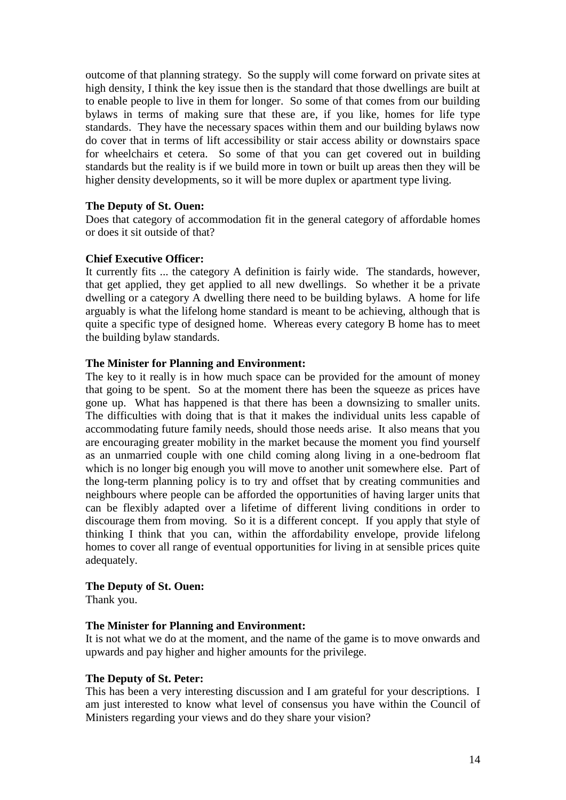outcome of that planning strategy. So the supply will come forward on private sites at high density, I think the key issue then is the standard that those dwellings are built at to enable people to live in them for longer. So some of that comes from our building bylaws in terms of making sure that these are, if you like, homes for life type standards. They have the necessary spaces within them and our building bylaws now do cover that in terms of lift accessibility or stair access ability or downstairs space for wheelchairs et cetera. So some of that you can get covered out in building standards but the reality is if we build more in town or built up areas then they will be higher density developments, so it will be more duplex or apartment type living.

# **The Deputy of St. Ouen:**

Does that category of accommodation fit in the general category of affordable homes or does it sit outside of that?

### **Chief Executive Officer:**

It currently fits ... the category A definition is fairly wide. The standards, however, that get applied, they get applied to all new dwellings. So whether it be a private dwelling or a category A dwelling there need to be building bylaws. A home for life arguably is what the lifelong home standard is meant to be achieving, although that is quite a specific type of designed home. Whereas every category B home has to meet the building bylaw standards.

### **The Minister for Planning and Environment:**

The key to it really is in how much space can be provided for the amount of money that going to be spent. So at the moment there has been the squeeze as prices have gone up. What has happened is that there has been a downsizing to smaller units. The difficulties with doing that is that it makes the individual units less capable of accommodating future family needs, should those needs arise. It also means that you are encouraging greater mobility in the market because the moment you find yourself as an unmarried couple with one child coming along living in a one-bedroom flat which is no longer big enough you will move to another unit somewhere else. Part of the long-term planning policy is to try and offset that by creating communities and neighbours where people can be afforded the opportunities of having larger units that can be flexibly adapted over a lifetime of different living conditions in order to discourage them from moving. So it is a different concept. If you apply that style of thinking I think that you can, within the affordability envelope, provide lifelong homes to cover all range of eventual opportunities for living in at sensible prices quite adequately.

# **The Deputy of St. Ouen:**

Thank you.

#### **The Minister for Planning and Environment:**

It is not what we do at the moment, and the name of the game is to move onwards and upwards and pay higher and higher amounts for the privilege.

#### **The Deputy of St. Peter:**

This has been a very interesting discussion and I am grateful for your descriptions. I am just interested to know what level of consensus you have within the Council of Ministers regarding your views and do they share your vision?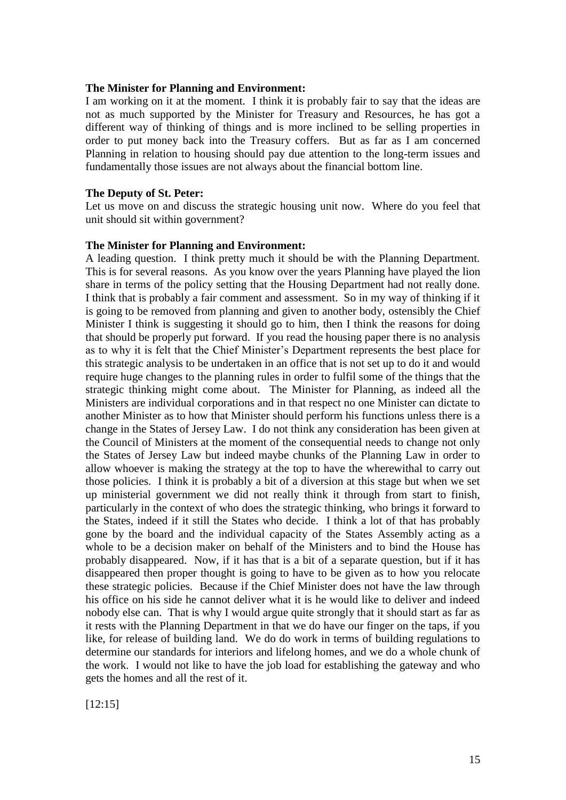#### **The Minister for Planning and Environment:**

I am working on it at the moment. I think it is probably fair to say that the ideas are not as much supported by the Minister for Treasury and Resources, he has got a different way of thinking of things and is more inclined to be selling properties in order to put money back into the Treasury coffers. But as far as I am concerned Planning in relation to housing should pay due attention to the long-term issues and fundamentally those issues are not always about the financial bottom line.

#### **The Deputy of St. Peter:**

Let us move on and discuss the strategic housing unit now. Where do you feel that unit should sit within government?

#### **The Minister for Planning and Environment:**

A leading question. I think pretty much it should be with the Planning Department. This is for several reasons. As you know over the years Planning have played the lion share in terms of the policy setting that the Housing Department had not really done. I think that is probably a fair comment and assessment. So in my way of thinking if it is going to be removed from planning and given to another body, ostensibly the Chief Minister I think is suggesting it should go to him, then I think the reasons for doing that should be properly put forward. If you read the housing paper there is no analysis as to why it is felt that the Chief Minister's Department represents the best place for this strategic analysis to be undertaken in an office that is not set up to do it and would require huge changes to the planning rules in order to fulfil some of the things that the strategic thinking might come about. The Minister for Planning, as indeed all the Ministers are individual corporations and in that respect no one Minister can dictate to another Minister as to how that Minister should perform his functions unless there is a change in the States of Jersey Law. I do not think any consideration has been given at the Council of Ministers at the moment of the consequential needs to change not only the States of Jersey Law but indeed maybe chunks of the Planning Law in order to allow whoever is making the strategy at the top to have the wherewithal to carry out those policies. I think it is probably a bit of a diversion at this stage but when we set up ministerial government we did not really think it through from start to finish, particularly in the context of who does the strategic thinking, who brings it forward to the States, indeed if it still the States who decide. I think a lot of that has probably gone by the board and the individual capacity of the States Assembly acting as a whole to be a decision maker on behalf of the Ministers and to bind the House has probably disappeared. Now, if it has that is a bit of a separate question, but if it has disappeared then proper thought is going to have to be given as to how you relocate these strategic policies. Because if the Chief Minister does not have the law through his office on his side he cannot deliver what it is he would like to deliver and indeed nobody else can. That is why I would argue quite strongly that it should start as far as it rests with the Planning Department in that we do have our finger on the taps, if you like, for release of building land. We do do work in terms of building regulations to determine our standards for interiors and lifelong homes, and we do a whole chunk of the work. I would not like to have the job load for establishing the gateway and who gets the homes and all the rest of it.

[12:15]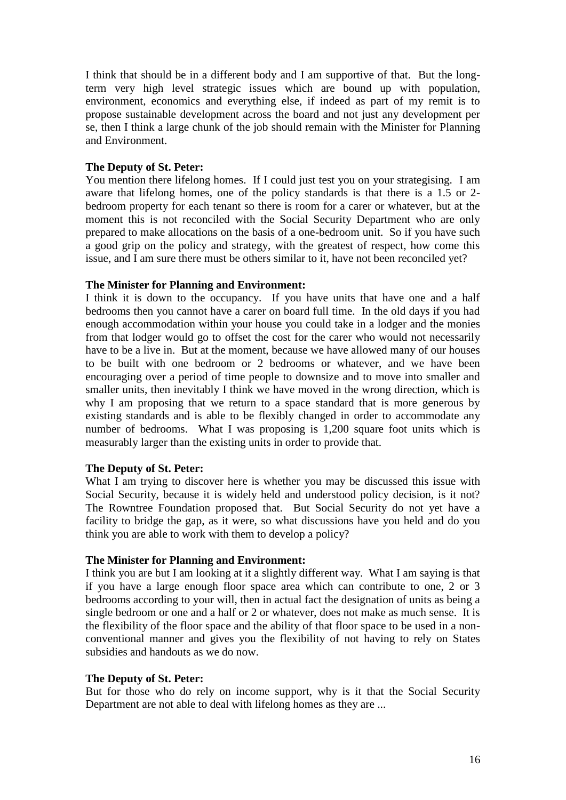I think that should be in a different body and I am supportive of that. But the longterm very high level strategic issues which are bound up with population, environment, economics and everything else, if indeed as part of my remit is to propose sustainable development across the board and not just any development per se, then I think a large chunk of the job should remain with the Minister for Planning and Environment.

# **The Deputy of St. Peter:**

You mention there lifelong homes. If I could just test you on your strategising. I am aware that lifelong homes, one of the policy standards is that there is a 1.5 or 2 bedroom property for each tenant so there is room for a carer or whatever, but at the moment this is not reconciled with the Social Security Department who are only prepared to make allocations on the basis of a one-bedroom unit. So if you have such a good grip on the policy and strategy, with the greatest of respect, how come this issue, and I am sure there must be others similar to it, have not been reconciled yet?

### **The Minister for Planning and Environment:**

I think it is down to the occupancy. If you have units that have one and a half bedrooms then you cannot have a carer on board full time. In the old days if you had enough accommodation within your house you could take in a lodger and the monies from that lodger would go to offset the cost for the carer who would not necessarily have to be a live in. But at the moment, because we have allowed many of our houses to be built with one bedroom or 2 bedrooms or whatever, and we have been encouraging over a period of time people to downsize and to move into smaller and smaller units, then inevitably I think we have moved in the wrong direction, which is why I am proposing that we return to a space standard that is more generous by existing standards and is able to be flexibly changed in order to accommodate any number of bedrooms. What I was proposing is 1,200 square foot units which is measurably larger than the existing units in order to provide that.

# **The Deputy of St. Peter:**

What I am trying to discover here is whether you may be discussed this issue with Social Security, because it is widely held and understood policy decision, is it not? The Rowntree Foundation proposed that. But Social Security do not yet have a facility to bridge the gap, as it were, so what discussions have you held and do you think you are able to work with them to develop a policy?

#### **The Minister for Planning and Environment:**

I think you are but I am looking at it a slightly different way. What I am saying is that if you have a large enough floor space area which can contribute to one, 2 or 3 bedrooms according to your will, then in actual fact the designation of units as being a single bedroom or one and a half or 2 or whatever, does not make as much sense. It is the flexibility of the floor space and the ability of that floor space to be used in a nonconventional manner and gives you the flexibility of not having to rely on States subsidies and handouts as we do now.

#### **The Deputy of St. Peter:**

But for those who do rely on income support, why is it that the Social Security Department are not able to deal with lifelong homes as they are ...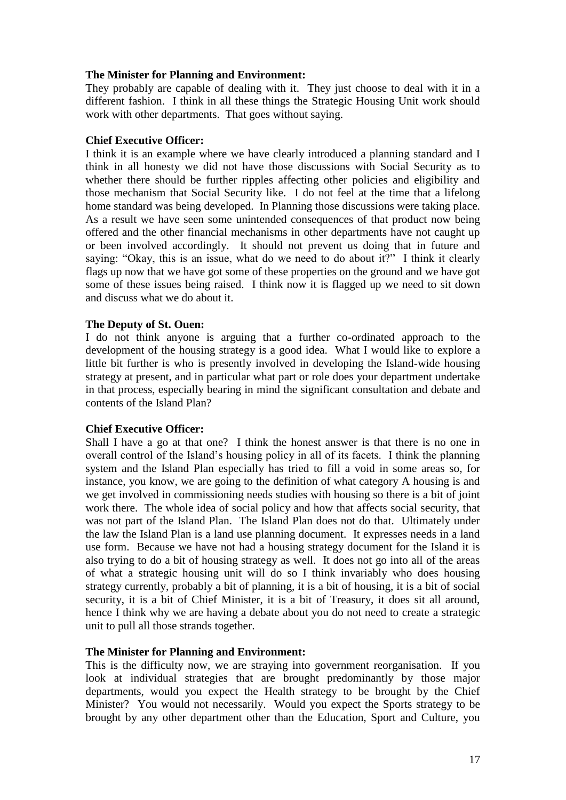# **The Minister for Planning and Environment:**

They probably are capable of dealing with it. They just choose to deal with it in a different fashion. I think in all these things the Strategic Housing Unit work should work with other departments. That goes without saying.

# **Chief Executive Officer:**

I think it is an example where we have clearly introduced a planning standard and I think in all honesty we did not have those discussions with Social Security as to whether there should be further ripples affecting other policies and eligibility and those mechanism that Social Security like. I do not feel at the time that a lifelong home standard was being developed. In Planning those discussions were taking place. As a result we have seen some unintended consequences of that product now being offered and the other financial mechanisms in other departments have not caught up or been involved accordingly. It should not prevent us doing that in future and saying: "Okay, this is an issue, what do we need to do about it?" I think it clearly flags up now that we have got some of these properties on the ground and we have got some of these issues being raised. I think now it is flagged up we need to sit down and discuss what we do about it.

# **The Deputy of St. Ouen:**

I do not think anyone is arguing that a further co-ordinated approach to the development of the housing strategy is a good idea. What I would like to explore a little bit further is who is presently involved in developing the Island-wide housing strategy at present, and in particular what part or role does your department undertake in that process, especially bearing in mind the significant consultation and debate and contents of the Island Plan?

# **Chief Executive Officer:**

Shall I have a go at that one? I think the honest answer is that there is no one in overall control of the Island's housing policy in all of its facets. I think the planning system and the Island Plan especially has tried to fill a void in some areas so, for instance, you know, we are going to the definition of what category A housing is and we get involved in commissioning needs studies with housing so there is a bit of joint work there. The whole idea of social policy and how that affects social security, that was not part of the Island Plan. The Island Plan does not do that. Ultimately under the law the Island Plan is a land use planning document. It expresses needs in a land use form. Because we have not had a housing strategy document for the Island it is also trying to do a bit of housing strategy as well. It does not go into all of the areas of what a strategic housing unit will do so I think invariably who does housing strategy currently, probably a bit of planning, it is a bit of housing, it is a bit of social security, it is a bit of Chief Minister, it is a bit of Treasury, it does sit all around, hence I think why we are having a debate about you do not need to create a strategic unit to pull all those strands together.

# **The Minister for Planning and Environment:**

This is the difficulty now, we are straying into government reorganisation. If you look at individual strategies that are brought predominantly by those major departments, would you expect the Health strategy to be brought by the Chief Minister? You would not necessarily. Would you expect the Sports strategy to be brought by any other department other than the Education, Sport and Culture, you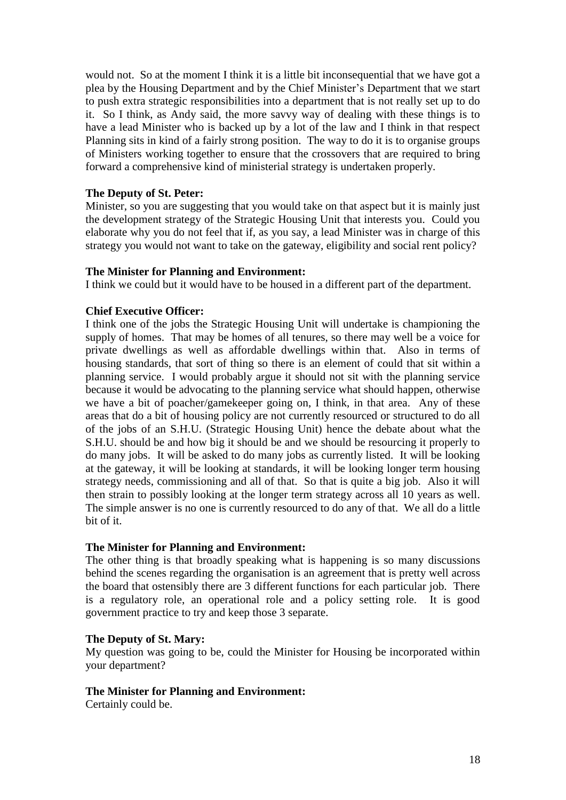would not. So at the moment I think it is a little bit inconsequential that we have got a plea by the Housing Department and by the Chief Minister's Department that we start to push extra strategic responsibilities into a department that is not really set up to do it. So I think, as Andy said, the more savvy way of dealing with these things is to have a lead Minister who is backed up by a lot of the law and I think in that respect Planning sits in kind of a fairly strong position. The way to do it is to organise groups of Ministers working together to ensure that the crossovers that are required to bring forward a comprehensive kind of ministerial strategy is undertaken properly.

# **The Deputy of St. Peter:**

Minister, so you are suggesting that you would take on that aspect but it is mainly just the development strategy of the Strategic Housing Unit that interests you. Could you elaborate why you do not feel that if, as you say, a lead Minister was in charge of this strategy you would not want to take on the gateway, eligibility and social rent policy?

# **The Minister for Planning and Environment:**

I think we could but it would have to be housed in a different part of the department.

# **Chief Executive Officer:**

I think one of the jobs the Strategic Housing Unit will undertake is championing the supply of homes. That may be homes of all tenures, so there may well be a voice for private dwellings as well as affordable dwellings within that. Also in terms of housing standards, that sort of thing so there is an element of could that sit within a planning service. I would probably argue it should not sit with the planning service because it would be advocating to the planning service what should happen, otherwise we have a bit of poacher/gamekeeper going on, I think, in that area. Any of these areas that do a bit of housing policy are not currently resourced or structured to do all of the jobs of an S.H.U. (Strategic Housing Unit) hence the debate about what the S.H.U. should be and how big it should be and we should be resourcing it properly to do many jobs. It will be asked to do many jobs as currently listed. It will be looking at the gateway, it will be looking at standards, it will be looking longer term housing strategy needs, commissioning and all of that. So that is quite a big job. Also it will then strain to possibly looking at the longer term strategy across all 10 years as well. The simple answer is no one is currently resourced to do any of that. We all do a little bit of it.

# **The Minister for Planning and Environment:**

The other thing is that broadly speaking what is happening is so many discussions behind the scenes regarding the organisation is an agreement that is pretty well across the board that ostensibly there are 3 different functions for each particular job. There is a regulatory role, an operational role and a policy setting role. It is good government practice to try and keep those 3 separate.

# **The Deputy of St. Mary:**

My question was going to be, could the Minister for Housing be incorporated within your department?

# **The Minister for Planning and Environment:**

Certainly could be.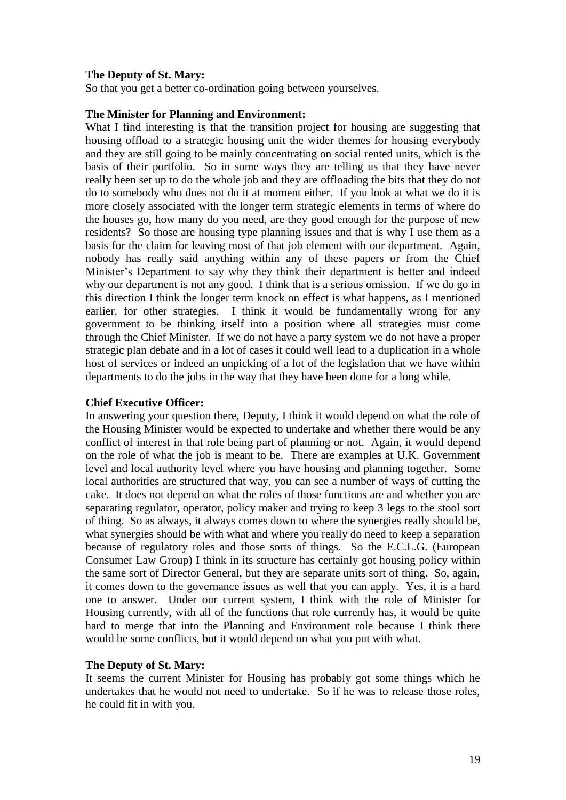### **The Deputy of St. Mary:**

So that you get a better co-ordination going between yourselves.

#### **The Minister for Planning and Environment:**

What I find interesting is that the transition project for housing are suggesting that housing offload to a strategic housing unit the wider themes for housing everybody and they are still going to be mainly concentrating on social rented units, which is the basis of their portfolio. So in some ways they are telling us that they have never really been set up to do the whole job and they are offloading the bits that they do not do to somebody who does not do it at moment either. If you look at what we do it is more closely associated with the longer term strategic elements in terms of where do the houses go, how many do you need, are they good enough for the purpose of new residents? So those are housing type planning issues and that is why I use them as a basis for the claim for leaving most of that job element with our department. Again, nobody has really said anything within any of these papers or from the Chief Minister's Department to say why they think their department is better and indeed why our department is not any good. I think that is a serious omission. If we do go in this direction I think the longer term knock on effect is what happens, as I mentioned earlier, for other strategies. I think it would be fundamentally wrong for any government to be thinking itself into a position where all strategies must come through the Chief Minister. If we do not have a party system we do not have a proper strategic plan debate and in a lot of cases it could well lead to a duplication in a whole host of services or indeed an unpicking of a lot of the legislation that we have within departments to do the jobs in the way that they have been done for a long while.

#### **Chief Executive Officer:**

In answering your question there, Deputy, I think it would depend on what the role of the Housing Minister would be expected to undertake and whether there would be any conflict of interest in that role being part of planning or not. Again, it would depend on the role of what the job is meant to be. There are examples at U.K. Government level and local authority level where you have housing and planning together. Some local authorities are structured that way, you can see a number of ways of cutting the cake. It does not depend on what the roles of those functions are and whether you are separating regulator, operator, policy maker and trying to keep 3 legs to the stool sort of thing. So as always, it always comes down to where the synergies really should be, what synergies should be with what and where you really do need to keep a separation because of regulatory roles and those sorts of things. So the E.C.L.G. (European Consumer Law Group) I think in its structure has certainly got housing policy within the same sort of Director General, but they are separate units sort of thing. So, again, it comes down to the governance issues as well that you can apply. Yes, it is a hard one to answer. Under our current system, I think with the role of Minister for Housing currently, with all of the functions that role currently has, it would be quite hard to merge that into the Planning and Environment role because I think there would be some conflicts, but it would depend on what you put with what.

#### **The Deputy of St. Mary:**

It seems the current Minister for Housing has probably got some things which he undertakes that he would not need to undertake. So if he was to release those roles, he could fit in with you.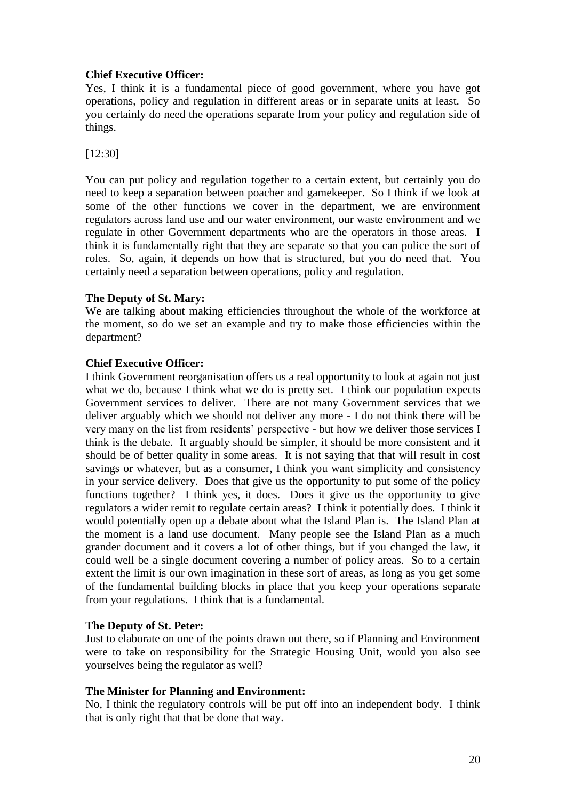# **Chief Executive Officer:**

Yes, I think it is a fundamental piece of good government, where you have got operations, policy and regulation in different areas or in separate units at least. So you certainly do need the operations separate from your policy and regulation side of things.

[12:30]

You can put policy and regulation together to a certain extent, but certainly you do need to keep a separation between poacher and gamekeeper. So I think if we look at some of the other functions we cover in the department, we are environment regulators across land use and our water environment, our waste environment and we regulate in other Government departments who are the operators in those areas. I think it is fundamentally right that they are separate so that you can police the sort of roles. So, again, it depends on how that is structured, but you do need that. You certainly need a separation between operations, policy and regulation.

# **The Deputy of St. Mary:**

We are talking about making efficiencies throughout the whole of the workforce at the moment, so do we set an example and try to make those efficiencies within the department?

# **Chief Executive Officer:**

I think Government reorganisation offers us a real opportunity to look at again not just what we do, because I think what we do is pretty set. I think our population expects Government services to deliver. There are not many Government services that we deliver arguably which we should not deliver any more - I do not think there will be very many on the list from residents' perspective - but how we deliver those services I think is the debate. It arguably should be simpler, it should be more consistent and it should be of better quality in some areas. It is not saying that that will result in cost savings or whatever, but as a consumer, I think you want simplicity and consistency in your service delivery. Does that give us the opportunity to put some of the policy functions together? I think yes, it does. Does it give us the opportunity to give regulators a wider remit to regulate certain areas? I think it potentially does. I think it would potentially open up a debate about what the Island Plan is. The Island Plan at the moment is a land use document. Many people see the Island Plan as a much grander document and it covers a lot of other things, but if you changed the law, it could well be a single document covering a number of policy areas. So to a certain extent the limit is our own imagination in these sort of areas, as long as you get some of the fundamental building blocks in place that you keep your operations separate from your regulations. I think that is a fundamental.

# **The Deputy of St. Peter:**

Just to elaborate on one of the points drawn out there, so if Planning and Environment were to take on responsibility for the Strategic Housing Unit, would you also see yourselves being the regulator as well?

# **The Minister for Planning and Environment:**

No, I think the regulatory controls will be put off into an independent body. I think that is only right that that be done that way.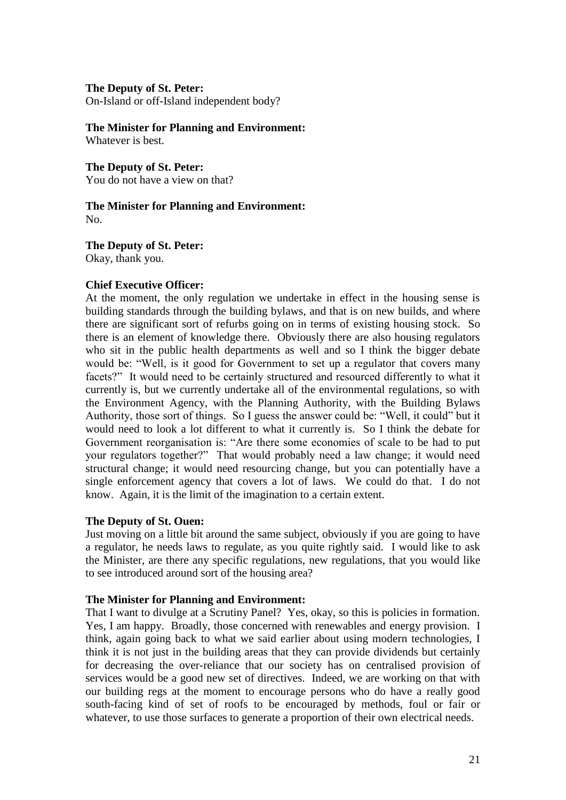On-Island or off-Island independent body?

#### **The Minister for Planning and Environment:**

Whatever is best.

# **The Deputy of St. Peter:**

You do not have a view on that?

#### **The Minister for Planning and Environment:** No.

**The Deputy of St. Peter:**

Okay, thank you.

# **Chief Executive Officer:**

At the moment, the only regulation we undertake in effect in the housing sense is building standards through the building bylaws, and that is on new builds, and where there are significant sort of refurbs going on in terms of existing housing stock. So there is an element of knowledge there. Obviously there are also housing regulators who sit in the public health departments as well and so I think the bigger debate would be: "Well, is it good for Government to set up a regulator that covers many facets?" It would need to be certainly structured and resourced differently to what it currently is, but we currently undertake all of the environmental regulations, so with the Environment Agency, with the Planning Authority, with the Building Bylaws Authority, those sort of things. So I guess the answer could be: "Well, it could" but it would need to look a lot different to what it currently is. So I think the debate for Government reorganisation is: "Are there some economies of scale to be had to put your regulators together?" That would probably need a law change; it would need structural change; it would need resourcing change, but you can potentially have a single enforcement agency that covers a lot of laws. We could do that. I do not know. Again, it is the limit of the imagination to a certain extent.

# **The Deputy of St. Ouen:**

Just moving on a little bit around the same subject, obviously if you are going to have a regulator, he needs laws to regulate, as you quite rightly said. I would like to ask the Minister, are there any specific regulations, new regulations, that you would like to see introduced around sort of the housing area?

# **The Minister for Planning and Environment:**

That I want to divulge at a Scrutiny Panel? Yes, okay, so this is policies in formation. Yes, I am happy. Broadly, those concerned with renewables and energy provision. I think, again going back to what we said earlier about using modern technologies, I think it is not just in the building areas that they can provide dividends but certainly for decreasing the over-reliance that our society has on centralised provision of services would be a good new set of directives. Indeed, we are working on that with our building regs at the moment to encourage persons who do have a really good south-facing kind of set of roofs to be encouraged by methods, foul or fair or whatever, to use those surfaces to generate a proportion of their own electrical needs.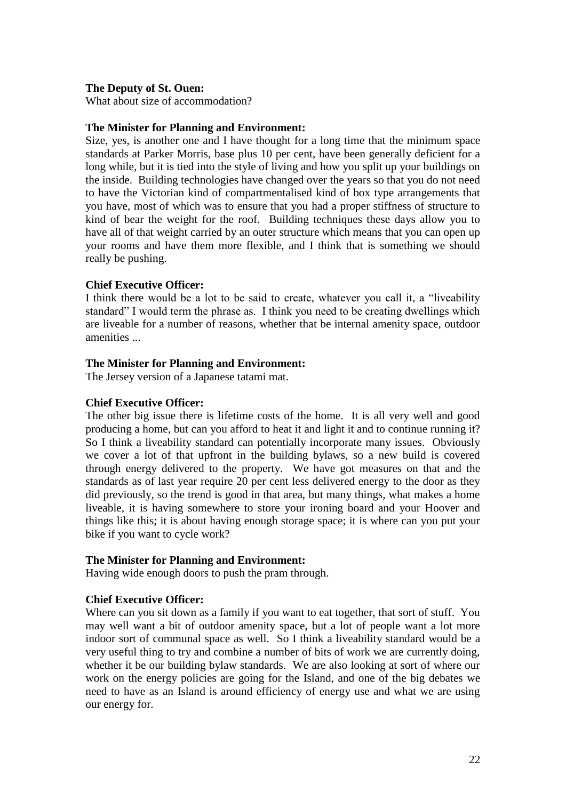# **The Deputy of St. Ouen:**

What about size of accommodation?

# **The Minister for Planning and Environment:**

Size, yes, is another one and I have thought for a long time that the minimum space standards at Parker Morris, base plus 10 per cent, have been generally deficient for a long while, but it is tied into the style of living and how you split up your buildings on the inside. Building technologies have changed over the years so that you do not need to have the Victorian kind of compartmentalised kind of box type arrangements that you have, most of which was to ensure that you had a proper stiffness of structure to kind of bear the weight for the roof. Building techniques these days allow you to have all of that weight carried by an outer structure which means that you can open up your rooms and have them more flexible, and I think that is something we should really be pushing.

# **Chief Executive Officer:**

I think there would be a lot to be said to create, whatever you call it, a "liveability standard" I would term the phrase as. I think you need to be creating dwellings which are liveable for a number of reasons, whether that be internal amenity space, outdoor amenities ...

# **The Minister for Planning and Environment:**

The Jersey version of a Japanese tatami mat.

# **Chief Executive Officer:**

The other big issue there is lifetime costs of the home. It is all very well and good producing a home, but can you afford to heat it and light it and to continue running it? So I think a liveability standard can potentially incorporate many issues. Obviously we cover a lot of that upfront in the building bylaws, so a new build is covered through energy delivered to the property. We have got measures on that and the standards as of last year require 20 per cent less delivered energy to the door as they did previously, so the trend is good in that area, but many things, what makes a home liveable, it is having somewhere to store your ironing board and your Hoover and things like this; it is about having enough storage space; it is where can you put your bike if you want to cycle work?

# **The Minister for Planning and Environment:**

Having wide enough doors to push the pram through.

# **Chief Executive Officer:**

Where can you sit down as a family if you want to eat together, that sort of stuff. You may well want a bit of outdoor amenity space, but a lot of people want a lot more indoor sort of communal space as well. So I think a liveability standard would be a very useful thing to try and combine a number of bits of work we are currently doing, whether it be our building bylaw standards. We are also looking at sort of where our work on the energy policies are going for the Island, and one of the big debates we need to have as an Island is around efficiency of energy use and what we are using our energy for.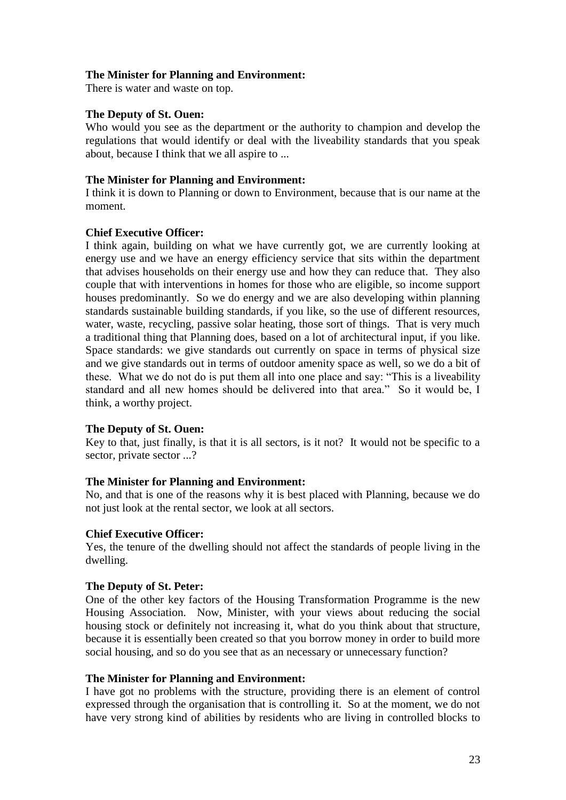# **The Minister for Planning and Environment:**

There is water and waste on top.

# **The Deputy of St. Ouen:**

Who would you see as the department or the authority to champion and develop the regulations that would identify or deal with the liveability standards that you speak about, because I think that we all aspire to ...

# **The Minister for Planning and Environment:**

I think it is down to Planning or down to Environment, because that is our name at the moment.

# **Chief Executive Officer:**

I think again, building on what we have currently got, we are currently looking at energy use and we have an energy efficiency service that sits within the department that advises households on their energy use and how they can reduce that. They also couple that with interventions in homes for those who are eligible, so income support houses predominantly. So we do energy and we are also developing within planning standards sustainable building standards, if you like, so the use of different resources, water, waste, recycling, passive solar heating, those sort of things. That is very much a traditional thing that Planning does, based on a lot of architectural input, if you like. Space standards: we give standards out currently on space in terms of physical size and we give standards out in terms of outdoor amenity space as well, so we do a bit of these. What we do not do is put them all into one place and say: "This is a liveability standard and all new homes should be delivered into that area." So it would be, I think, a worthy project.

# **The Deputy of St. Ouen:**

Key to that, just finally, is that it is all sectors, is it not? It would not be specific to a sector, private sector ...?

# **The Minister for Planning and Environment:**

No, and that is one of the reasons why it is best placed with Planning, because we do not just look at the rental sector, we look at all sectors.

# **Chief Executive Officer:**

Yes, the tenure of the dwelling should not affect the standards of people living in the dwelling.

# **The Deputy of St. Peter:**

One of the other key factors of the Housing Transformation Programme is the new Housing Association. Now, Minister, with your views about reducing the social housing stock or definitely not increasing it, what do you think about that structure, because it is essentially been created so that you borrow money in order to build more social housing, and so do you see that as an necessary or unnecessary function?

# **The Minister for Planning and Environment:**

I have got no problems with the structure, providing there is an element of control expressed through the organisation that is controlling it. So at the moment, we do not have very strong kind of abilities by residents who are living in controlled blocks to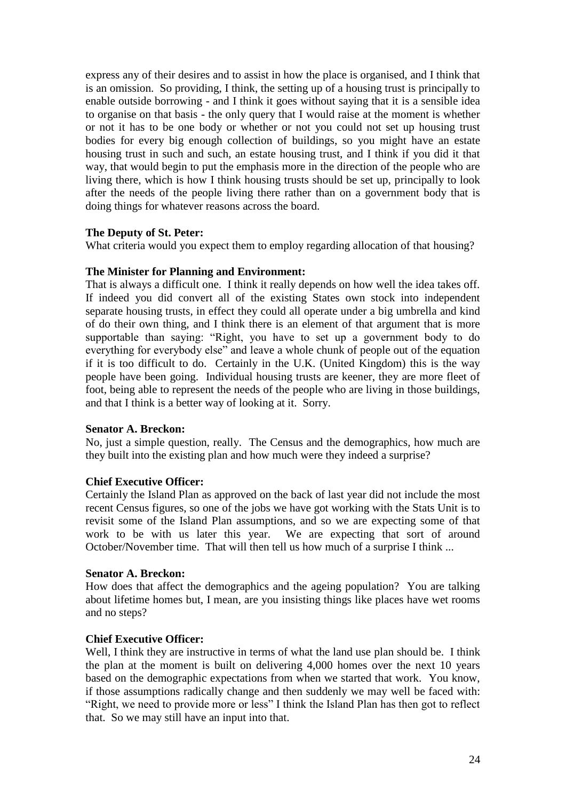express any of their desires and to assist in how the place is organised, and I think that is an omission. So providing, I think, the setting up of a housing trust is principally to enable outside borrowing - and I think it goes without saying that it is a sensible idea to organise on that basis - the only query that I would raise at the moment is whether or not it has to be one body or whether or not you could not set up housing trust bodies for every big enough collection of buildings, so you might have an estate housing trust in such and such, an estate housing trust, and I think if you did it that way, that would begin to put the emphasis more in the direction of the people who are living there, which is how I think housing trusts should be set up, principally to look after the needs of the people living there rather than on a government body that is doing things for whatever reasons across the board.

# **The Deputy of St. Peter:**

What criteria would you expect them to employ regarding allocation of that housing?

# **The Minister for Planning and Environment:**

That is always a difficult one. I think it really depends on how well the idea takes off. If indeed you did convert all of the existing States own stock into independent separate housing trusts, in effect they could all operate under a big umbrella and kind of do their own thing, and I think there is an element of that argument that is more supportable than saying: "Right, you have to set up a government body to do everything for everybody else" and leave a whole chunk of people out of the equation if it is too difficult to do. Certainly in the U.K. (United Kingdom) this is the way people have been going. Individual housing trusts are keener, they are more fleet of foot, being able to represent the needs of the people who are living in those buildings, and that I think is a better way of looking at it. Sorry.

# **Senator A. Breckon:**

No, just a simple question, really. The Census and the demographics, how much are they built into the existing plan and how much were they indeed a surprise?

# **Chief Executive Officer:**

Certainly the Island Plan as approved on the back of last year did not include the most recent Census figures, so one of the jobs we have got working with the Stats Unit is to revisit some of the Island Plan assumptions, and so we are expecting some of that work to be with us later this year. We are expecting that sort of around October/November time. That will then tell us how much of a surprise I think ...

# **Senator A. Breckon:**

How does that affect the demographics and the ageing population? You are talking about lifetime homes but, I mean, are you insisting things like places have wet rooms and no steps?

# **Chief Executive Officer:**

Well, I think they are instructive in terms of what the land use plan should be. I think the plan at the moment is built on delivering 4,000 homes over the next 10 years based on the demographic expectations from when we started that work. You know, if those assumptions radically change and then suddenly we may well be faced with: "Right, we need to provide more or less" I think the Island Plan has then got to reflect that. So we may still have an input into that.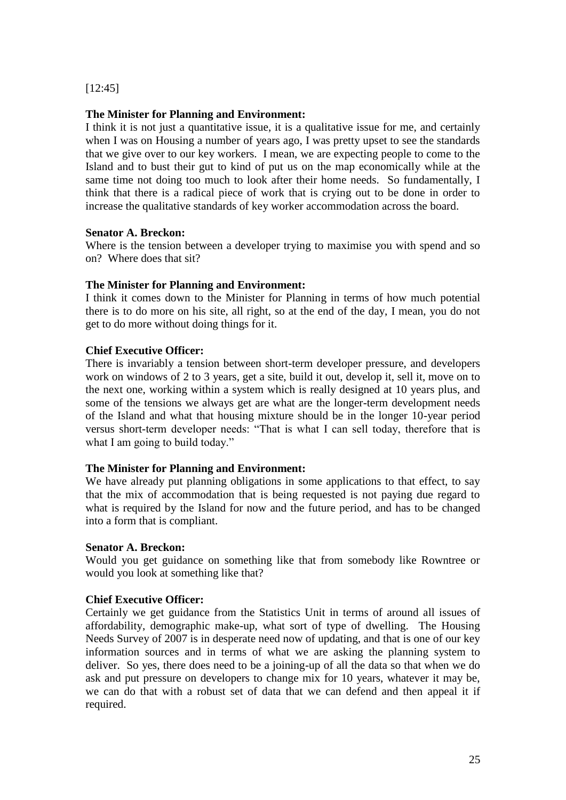[12:45]

### **The Minister for Planning and Environment:**

I think it is not just a quantitative issue, it is a qualitative issue for me, and certainly when I was on Housing a number of years ago, I was pretty upset to see the standards that we give over to our key workers. I mean, we are expecting people to come to the Island and to bust their gut to kind of put us on the map economically while at the same time not doing too much to look after their home needs. So fundamentally, I think that there is a radical piece of work that is crying out to be done in order to increase the qualitative standards of key worker accommodation across the board.

### **Senator A. Breckon:**

Where is the tension between a developer trying to maximise you with spend and so on? Where does that sit?

# **The Minister for Planning and Environment:**

I think it comes down to the Minister for Planning in terms of how much potential there is to do more on his site, all right, so at the end of the day, I mean, you do not get to do more without doing things for it.

### **Chief Executive Officer:**

There is invariably a tension between short-term developer pressure, and developers work on windows of 2 to 3 years, get a site, build it out, develop it, sell it, move on to the next one, working within a system which is really designed at 10 years plus, and some of the tensions we always get are what are the longer-term development needs of the Island and what that housing mixture should be in the longer 10-year period versus short-term developer needs: "That is what I can sell today, therefore that is what I am going to build today."

# **The Minister for Planning and Environment:**

We have already put planning obligations in some applications to that effect, to say that the mix of accommodation that is being requested is not paying due regard to what is required by the Island for now and the future period, and has to be changed into a form that is compliant.

# **Senator A. Breckon:**

Would you get guidance on something like that from somebody like Rowntree or would you look at something like that?

### **Chief Executive Officer:**

Certainly we get guidance from the Statistics Unit in terms of around all issues of affordability, demographic make-up, what sort of type of dwelling. The Housing Needs Survey of 2007 is in desperate need now of updating, and that is one of our key information sources and in terms of what we are asking the planning system to deliver. So yes, there does need to be a joining-up of all the data so that when we do ask and put pressure on developers to change mix for 10 years, whatever it may be, we can do that with a robust set of data that we can defend and then appeal it if required.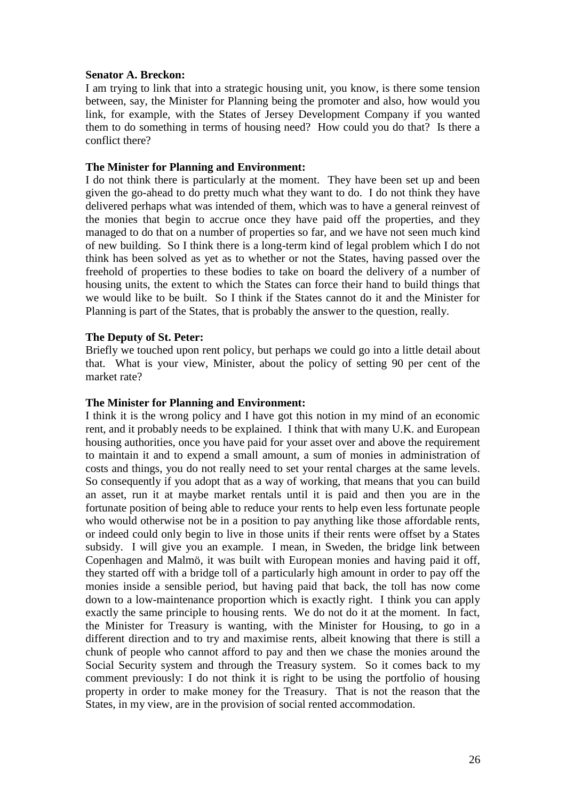# **Senator A. Breckon:**

I am trying to link that into a strategic housing unit, you know, is there some tension between, say, the Minister for Planning being the promoter and also, how would you link, for example, with the States of Jersey Development Company if you wanted them to do something in terms of housing need? How could you do that? Is there a conflict there?

### **The Minister for Planning and Environment:**

I do not think there is particularly at the moment. They have been set up and been given the go-ahead to do pretty much what they want to do. I do not think they have delivered perhaps what was intended of them, which was to have a general reinvest of the monies that begin to accrue once they have paid off the properties, and they managed to do that on a number of properties so far, and we have not seen much kind of new building. So I think there is a long-term kind of legal problem which I do not think has been solved as yet as to whether or not the States, having passed over the freehold of properties to these bodies to take on board the delivery of a number of housing units, the extent to which the States can force their hand to build things that we would like to be built. So I think if the States cannot do it and the Minister for Planning is part of the States, that is probably the answer to the question, really.

### **The Deputy of St. Peter:**

Briefly we touched upon rent policy, but perhaps we could go into a little detail about that. What is your view, Minister, about the policy of setting 90 per cent of the market rate?

#### **The Minister for Planning and Environment:**

I think it is the wrong policy and I have got this notion in my mind of an economic rent, and it probably needs to be explained. I think that with many U.K. and European housing authorities, once you have paid for your asset over and above the requirement to maintain it and to expend a small amount, a sum of monies in administration of costs and things, you do not really need to set your rental charges at the same levels. So consequently if you adopt that as a way of working, that means that you can build an asset, run it at maybe market rentals until it is paid and then you are in the fortunate position of being able to reduce your rents to help even less fortunate people who would otherwise not be in a position to pay anything like those affordable rents, or indeed could only begin to live in those units if their rents were offset by a States subsidy. I will give you an example. I mean, in Sweden, the bridge link between Copenhagen and Malmö, it was built with European monies and having paid it off, they started off with a bridge toll of a particularly high amount in order to pay off the monies inside a sensible period, but having paid that back, the toll has now come down to a low-maintenance proportion which is exactly right. I think you can apply exactly the same principle to housing rents. We do not do it at the moment. In fact, the Minister for Treasury is wanting, with the Minister for Housing, to go in a different direction and to try and maximise rents, albeit knowing that there is still a chunk of people who cannot afford to pay and then we chase the monies around the Social Security system and through the Treasury system. So it comes back to my comment previously: I do not think it is right to be using the portfolio of housing property in order to make money for the Treasury. That is not the reason that the States, in my view, are in the provision of social rented accommodation.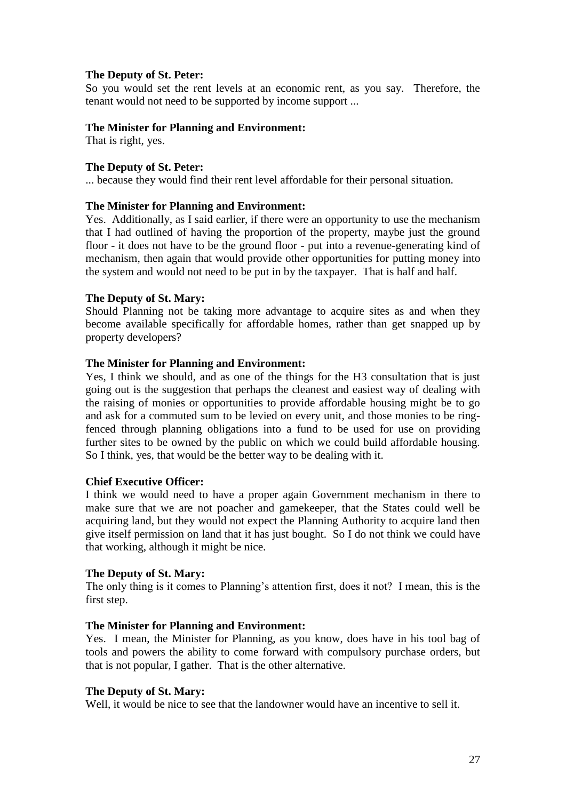So you would set the rent levels at an economic rent, as you say. Therefore, the tenant would not need to be supported by income support ...

### **The Minister for Planning and Environment:**

That is right, yes.

### **The Deputy of St. Peter:**

... because they would find their rent level affordable for their personal situation.

### **The Minister for Planning and Environment:**

Yes. Additionally, as I said earlier, if there were an opportunity to use the mechanism that I had outlined of having the proportion of the property, maybe just the ground floor - it does not have to be the ground floor - put into a revenue-generating kind of mechanism, then again that would provide other opportunities for putting money into the system and would not need to be put in by the taxpayer. That is half and half.

### **The Deputy of St. Mary:**

Should Planning not be taking more advantage to acquire sites as and when they become available specifically for affordable homes, rather than get snapped up by property developers?

### **The Minister for Planning and Environment:**

Yes, I think we should, and as one of the things for the H3 consultation that is just going out is the suggestion that perhaps the cleanest and easiest way of dealing with the raising of monies or opportunities to provide affordable housing might be to go and ask for a commuted sum to be levied on every unit, and those monies to be ringfenced through planning obligations into a fund to be used for use on providing further sites to be owned by the public on which we could build affordable housing. So I think, yes, that would be the better way to be dealing with it.

# **Chief Executive Officer:**

I think we would need to have a proper again Government mechanism in there to make sure that we are not poacher and gamekeeper, that the States could well be acquiring land, but they would not expect the Planning Authority to acquire land then give itself permission on land that it has just bought. So I do not think we could have that working, although it might be nice.

#### **The Deputy of St. Mary:**

The only thing is it comes to Planning's attention first, does it not? I mean, this is the first step.

# **The Minister for Planning and Environment:**

Yes. I mean, the Minister for Planning, as you know, does have in his tool bag of tools and powers the ability to come forward with compulsory purchase orders, but that is not popular, I gather. That is the other alternative.

### **The Deputy of St. Mary:**

Well, it would be nice to see that the landowner would have an incentive to sell it.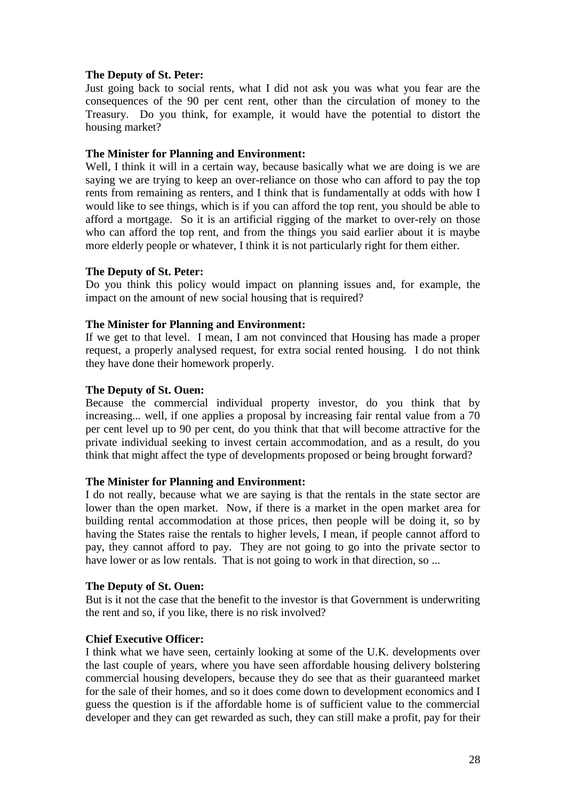Just going back to social rents, what I did not ask you was what you fear are the consequences of the 90 per cent rent, other than the circulation of money to the Treasury. Do you think, for example, it would have the potential to distort the housing market?

# **The Minister for Planning and Environment:**

Well, I think it will in a certain way, because basically what we are doing is we are saying we are trying to keep an over-reliance on those who can afford to pay the top rents from remaining as renters, and I think that is fundamentally at odds with how I would like to see things, which is if you can afford the top rent, you should be able to afford a mortgage. So it is an artificial rigging of the market to over-rely on those who can afford the top rent, and from the things you said earlier about it is maybe more elderly people or whatever, I think it is not particularly right for them either.

# **The Deputy of St. Peter:**

Do you think this policy would impact on planning issues and, for example, the impact on the amount of new social housing that is required?

# **The Minister for Planning and Environment:**

If we get to that level. I mean, I am not convinced that Housing has made a proper request, a properly analysed request, for extra social rented housing. I do not think they have done their homework properly.

# **The Deputy of St. Ouen:**

Because the commercial individual property investor, do you think that by increasing... well, if one applies a proposal by increasing fair rental value from a 70 per cent level up to 90 per cent, do you think that that will become attractive for the private individual seeking to invest certain accommodation, and as a result, do you think that might affect the type of developments proposed or being brought forward?

# **The Minister for Planning and Environment:**

I do not really, because what we are saying is that the rentals in the state sector are lower than the open market. Now, if there is a market in the open market area for building rental accommodation at those prices, then people will be doing it, so by having the States raise the rentals to higher levels, I mean, if people cannot afford to pay, they cannot afford to pay. They are not going to go into the private sector to have lower or as low rentals. That is not going to work in that direction, so ...

# **The Deputy of St. Ouen:**

But is it not the case that the benefit to the investor is that Government is underwriting the rent and so, if you like, there is no risk involved?

# **Chief Executive Officer:**

I think what we have seen, certainly looking at some of the U.K. developments over the last couple of years, where you have seen affordable housing delivery bolstering commercial housing developers, because they do see that as their guaranteed market for the sale of their homes, and so it does come down to development economics and I guess the question is if the affordable home is of sufficient value to the commercial developer and they can get rewarded as such, they can still make a profit, pay for their